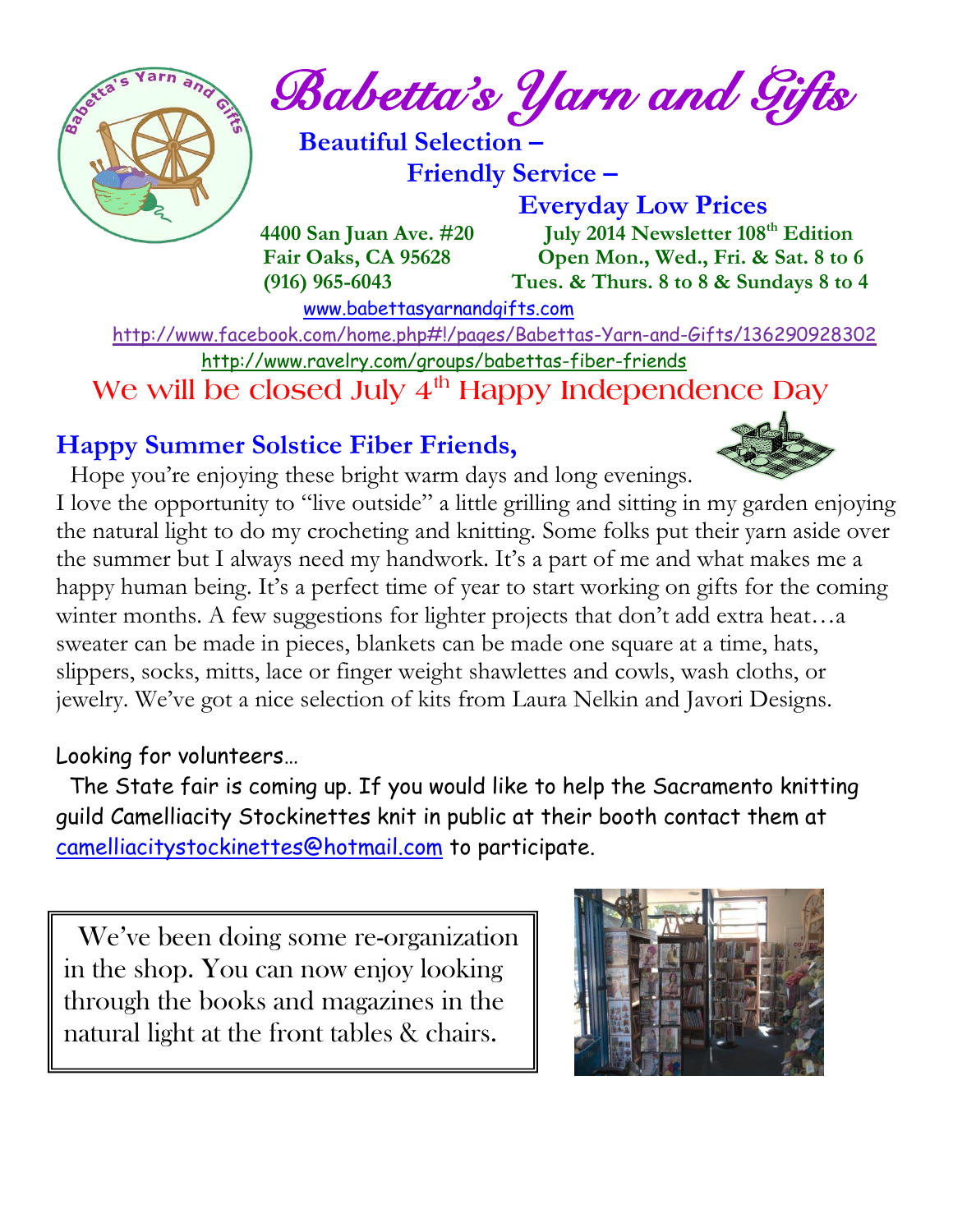

*Babetta's Yarn and Gifts* 

 **Beautiful Selection – Friendly Service –**

 **Everyday Low Prices 4400 San Juan Ave. #20 July 2014 Newsletter 108th Edition Fair Oaks, CA 95628 Open Mon., Wed., Fri. & Sat. 8 to 6 (916) 965-6043 Tues. & Thurs. 8 to 8 & Sundays 8 to 4** 

[www.babettasyarnandgifts.com](http://www.babettasyarnandgifts.com/)

 <http://www.facebook.com/home.php#!/pages/Babettas-Yarn-and-Gifts/136290928302> <http://www.ravelry.com/groups/babettas-fiber-friends>  **We will be closed July 4th Happy Independence Day**

### **Happy Summer Solstice Fiber Friends,**

Hope you're enjoying these bright warm days and long evenings. I love the opportunity to "live outside" a little grilling and sitting in my garden enjoying the natural light to do my crocheting and knitting. Some folks put their yarn aside over the summer but I always need my handwork. It's a part of me and what makes me a happy human being. It's a perfect time of year to start working on gifts for the coming winter months. A few suggestions for lighter projects that don't add extra heat...a sweater can be made in pieces, blankets can be made one square at a time, hats, slippers, socks, mitts, lace or finger weight shawlettes and cowls, wash cloths, or jewelry. We've got a nice selection of kits from Laura Nelkin and Javori Designs.

### Looking for volunteers…

 $\overline{a}$ 

 The State fair is coming up. If you would like to help the Sacramento knitting guild Camelliacity Stockinettes knit in public at their booth contact them at [camelliacitystockinettes@hotmail.com](mailto:camelliacitystockinettes@hotmail.com) to participate.

 We 've been doing some re-organization in the shop. You can now enjoy looking through the books and magazines in the natural light at the front tables & chairs.

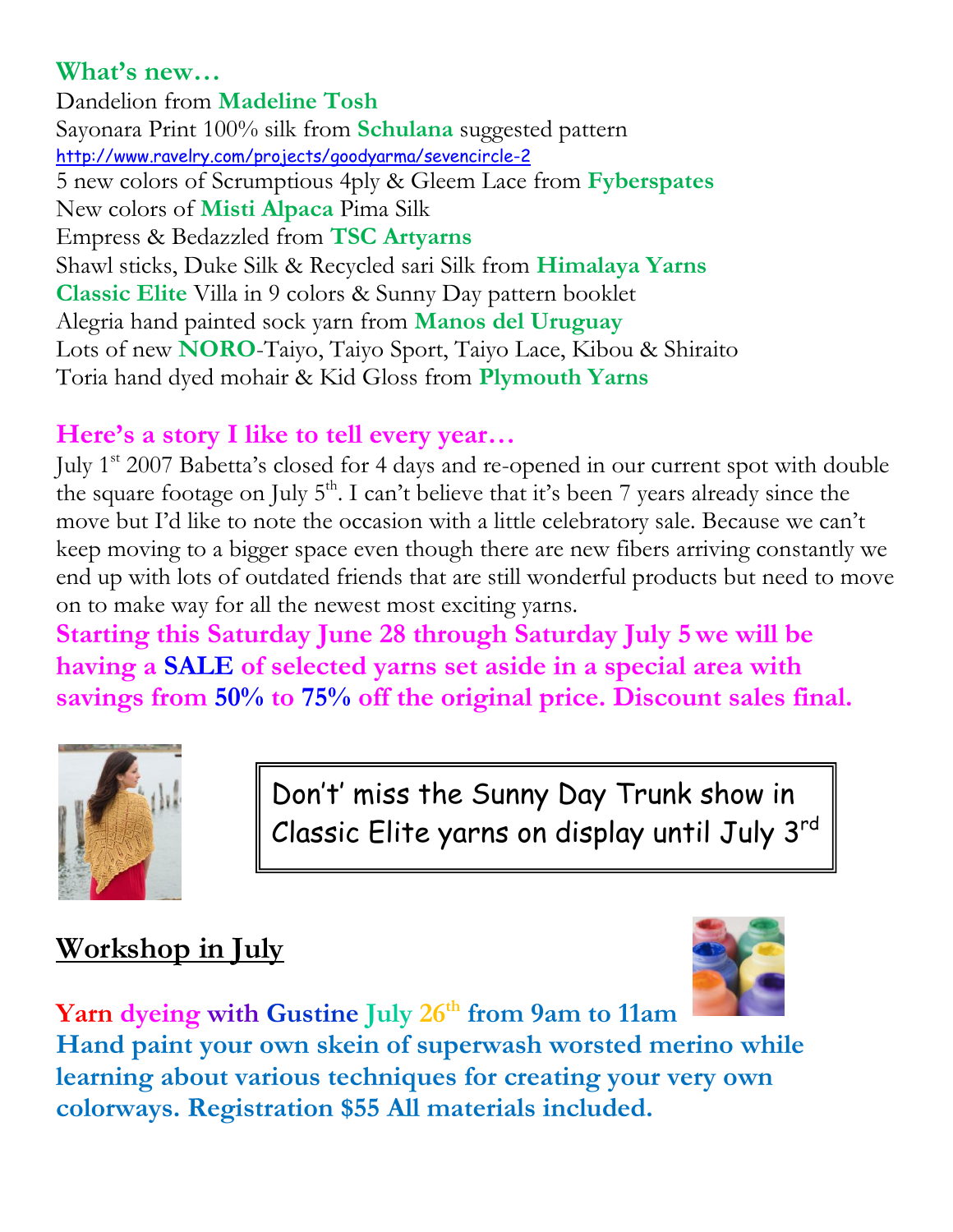### **What's new…**

Dandelion from **Madeline Tosh** Sayonara Print 100% silk from **Schulana** suggested pattern <http://www.ravelry.com/projects/goodyarma/sevencircle-2> 5 new colors of Scrumptious 4ply & Gleem Lace from **Fyberspates** New colors of **Misti Alpaca** Pima Silk Empress & Bedazzled from **TSC Artyarns** Shawl sticks, Duke Silk & Recycled sari Silk from **Himalaya Yarns Classic Elite** Villa in 9 colors & Sunny Day pattern booklet Alegria hand painted sock yarn from **Manos del Uruguay** Lots of new **NORO**-Taiyo, Taiyo Sport, Taiyo Lace, Kibou & Shiraito Toria hand dyed mohair & Kid Gloss from **Plymouth Yarns**

### **Here's a story I like to tell every year…**

July 1st 2007 Babetta's closed for 4 days and re-opened in our current spot with double the square footage on July  $5<sup>th</sup>$ . I can't believe that it's been 7 years already since the move but I'd like to note the occasion with a little celebratory sale. Because we can't keep moving to a bigger space even though there are new fibers arriving constantly we end up with lots of outdated friends that are still wonderful products but need to move on to make way for all the newest most exciting yarns.

**Starting this Saturday June 28 through Saturday July 5 we will be having a SALE of selected yarns set aside in a special area with savings from 50% to 75% off the original price. Discount sales final.**



Don't' miss the Sunny Day Trunk show in Classic Elite yarns on display until July 3rd

## **Workshop in July**



**Yarn dyeing with Gustine July 26th from 9am to 11am Hand paint your own skein of superwash worsted merino while learning about various techniques for creating your very own colorways. Registration \$55 All materials included.**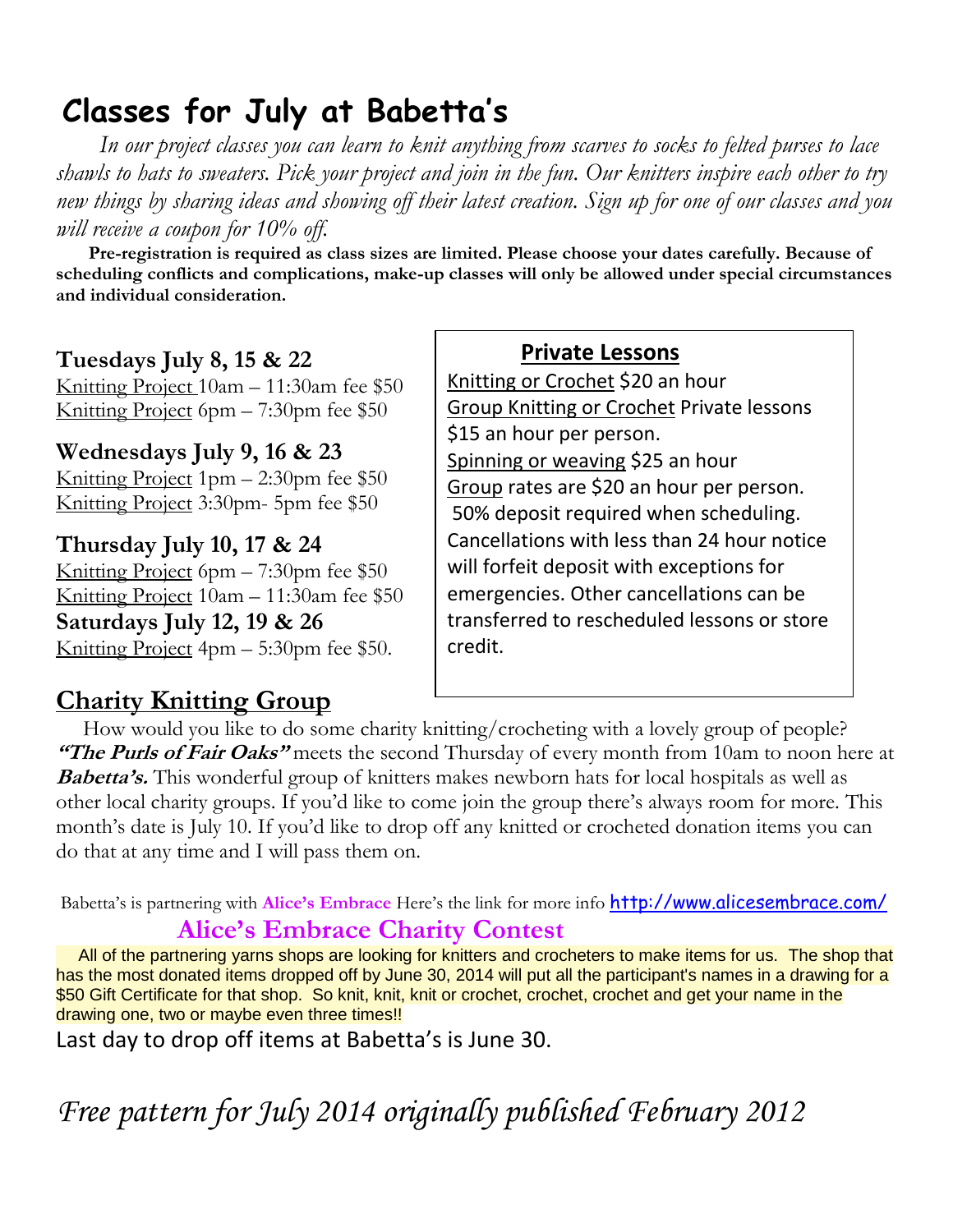## **Classes for July at Babetta's**

 *In our project classes you can learn to knit anything from scarves to socks to felted purses to lace shawls to hats to sweaters. Pick your project and join in the fun. Our knitters inspire each other to try new things by sharing ideas and showing off their latest creation. Sign up for one of our classes and you will receive a coupon for 10% off.*

 **Pre-registration is required as class sizes are limited. Please choose your dates carefully. Because of scheduling conflicts and complications, make-up classes will only be allowed under special circumstances and individual consideration.**

#### **Tuesdays July 8, 15 & 22**

Knitting Project 10am – 11:30am fee \$50 Knitting Project 6pm – 7:30pm fee \$50

**Wednesdays July 9, 16 & 23** Knitting Project 1pm – 2:30pm fee \$50 Knitting Project 3:30pm- 5pm fee \$50

**Thursday July 10, 17 & 24** Knitting Project 6pm – 7:30pm fee \$50 Knitting Project 10am – 11:30am fee \$50 **Saturdays July 12, 19 & 26** Knitting Project 4pm – 5:30pm fee \$50.

### **Charity Knitting Group**

#### **Private Lessons**

Knitting or Crochet \$20 an hour Group Knitting or Crochet Private lessons \$15 an hour per person. Spinning or weaving \$25 an hour Group rates are \$20 an hour per person. 50% deposit required when scheduling. Cancellations with less than 24 hour notice will forfeit deposit with exceptions for emergencies. Other cancellations can be transferred to rescheduled lessons or store credit.

 How would you like to do some charity knitting/crocheting with a lovely group of people? **"The Purls of Fair Oaks"** meets the second Thursday of every month from 10am to noon here at **Babetta's.** This wonderful group of knitters makes newborn hats for local hospitals as well as other local charity groups. If you'd like to come join the group there's always room for more. This month's date is July 10. If you'd like to drop off any knitted or crocheted donation items you can do that at any time and I will pass them on.

Babetta's is partnering with **Alice's Embrace** Here's the link for more info <http://www.alicesembrace.com/>  **Alice's Embrace Charity Contest**

 All of the partnering yarns shops are looking for knitters and crocheters to make items for us. The shop that has the most donated items dropped off by June 30, 2014 will put all the participant's names in a drawing for a \$50 Gift Certificate for that shop. So knit, knit, knit or crochet, crochet, crochet and get your name in the drawing one, two or maybe even three times!!

Last day to drop off items at Babetta's is June 30.

*Free pattern for July 2014 originally published February 2012*